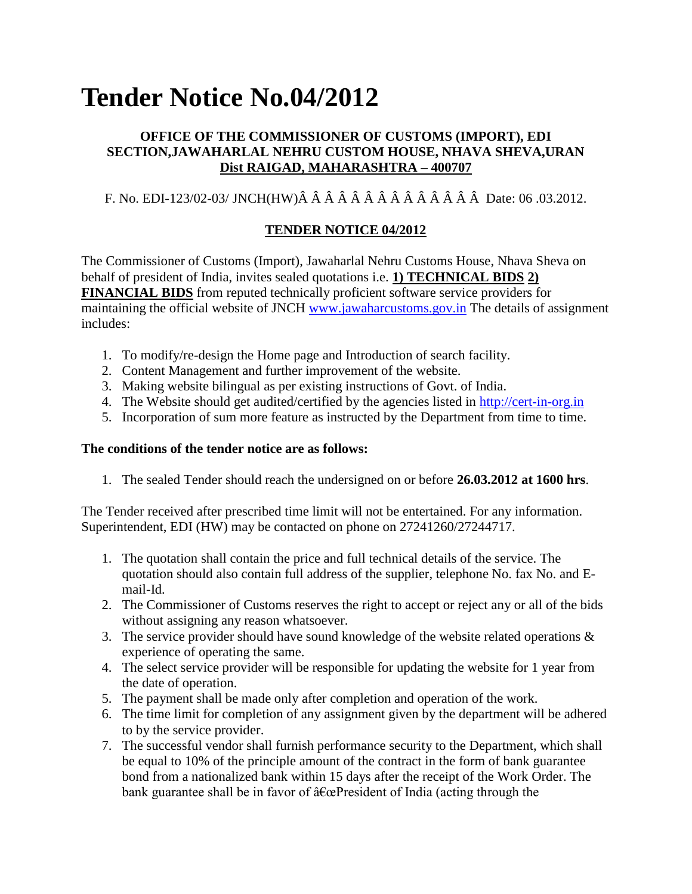# **Tender Notice No.04/2012**

## **OFFICE OF THE COMMISSIONER OF CUSTOMS (IMPORT), EDI SECTION,JAWAHARLAL NEHRU CUSTOM HOUSE, NHAVA SHEVA,URAN Dist RAIGAD, MAHARASHTRA – 400707**

# F. No. EDI-123/02-03/ JNCH(HW)Â Â Â Â Â Â Â Â Â Â Â Â Â Â Date: 06 .03.2012.

# **TENDER NOTICE 04/2012**

The Commissioner of Customs (Import), Jawaharlal Nehru Customs House, Nhava Sheva on behalf of president of India, invites sealed quotations i.e. **1) TECHNICAL BIDS 2) FINANCIAL BIDS** from reputed technically proficient software service providers for maintaining the official website of JNCH [www.jawaharcustoms.gov.in](http://164.100.155.199/) The details of assignment includes:

- 1. To modify/re-design the Home page and Introduction of search facility.
- 2. Content Management and further improvement of the website.
- 3. Making website bilingual as per existing instructions of Govt. of India.
- 4. The Website should get audited/certified by the agencies listed in [http://cert-in-org.in](http://cert-in-org.in/)
- 5. Incorporation of sum more feature as instructed by the Department from time to time.

### **The conditions of the tender notice are as follows:**

1. The sealed Tender should reach the undersigned on or before **26.03.2012 at 1600 hrs**.

The Tender received after prescribed time limit will not be entertained. For any information. Superintendent, EDI (HW) may be contacted on phone on 27241260/27244717.

- 1. The quotation shall contain the price and full technical details of the service. The quotation should also contain full address of the supplier, telephone No. fax No. and Email-Id.
- 2. The Commissioner of Customs reserves the right to accept or reject any or all of the bids without assigning any reason whatsoever.
- 3. The service provider should have sound knowledge of the website related operations  $\&$ experience of operating the same.
- 4. The select service provider will be responsible for updating the website for 1 year from the date of operation.
- 5. The payment shall be made only after completion and operation of the work.
- 6. The time limit for completion of any assignment given by the department will be adhered to by the service provider.
- 7. The successful vendor shall furnish performance security to the Department, which shall be equal to 10% of the principle amount of the contract in the form of bank guarantee bond from a nationalized bank within 15 days after the receipt of the Work Order. The bank guarantee shall be in favor of  $\hat{a} \in \mathbb{C}$ President of India (acting through the